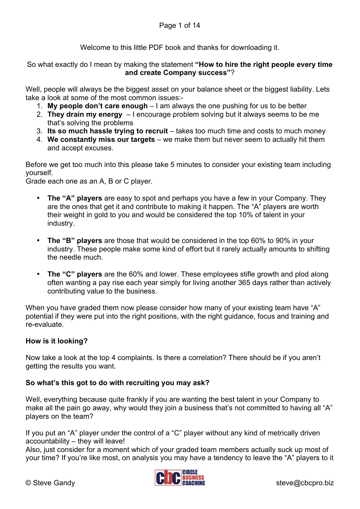Welcome to this little PDF book and thanks for downloading it.

So what exactly do I mean by making the statement **"How to hire the right people every time and create Company success"**?

Well, people will always be the biggest asset on your balance sheet or the biggest liability. Lets take a look at some of the most common issues:-

- 1. **My people don't care enough** I am always the one pushing for us to be better
- 2. **They drain my energy**  I encourage problem solving but it always seems to be me that's solving the problems
- 3. **Its so much hassle trying to recruit** takes too much time and costs to much money
- 4. **We constantly miss our targets** we make them but never seem to actually hit them and accept excuses.

Before we get too much into this please take 5 minutes to consider your existing team including yourself.

Grade each one as an A, B or C player.

- **The "A" players** are easy to spot and perhaps you have a few in your Company. They are the ones that get it and contribute to making it happen. The "A" players are worth their weight in gold to you and would be considered the top 10% of talent in your industry.
- **The "B" players** are those that would be considered in the top 60% to 90% in your industry. These people make some kind of effort but it rarely actually amounts to shifting the needle much.
- **The "C" players** are the 60% and lower. These employees stifle growth and plod along often wanting a pay rise each year simply for living another 365 days rather than actively contributing value to the business.

When you have graded them now please consider how many of your existing team have "A" potential if they were put into the right positions, with the right guidance, focus and training and re-evaluate.

### **How is it looking?**

Now take a look at the top 4 complaints. Is there a correlation? There should be if you aren't getting the results you want.

### **So what's this got to do with recruiting you may ask?**

Well, everything because quite frankly if you are wanting the best talent in your Company to make all the pain go away, why would they join a business that's not committed to having all "A" players on the team?

If you put an "A" player under the control of a "C" player without any kind of metrically driven accountability – they will leave!

Also, just consider for a moment which of your graded team members actually suck up most of your time? If you're like most, on analysis you may have a tendency to leave the "A" players to it

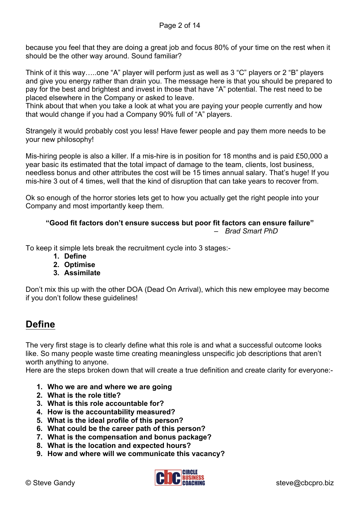because you feel that they are doing a great job and focus 80% of your time on the rest when it should be the other way around. Sound familiar?

Think of it this way…..one "A" player will perform just as well as 3 "C" players or 2 "B" players and give you energy rather than drain you. The message here is that you should be prepared to pay for the best and brightest and invest in those that have "A" potential. The rest need to be placed elsewhere in the Company or asked to leave.

Think about that when you take a look at what you are paying your people currently and how that would change if you had a Company 90% full of "A" players.

Strangely it would probably cost you less! Have fewer people and pay them more needs to be your new philosophy!

Mis-hiring people is also a killer. If a mis-hire is in position for 18 months and is paid £50,000 a year basic its estimated that the total impact of damage to the team, clients, lost business, needless bonus and other attributes the cost will be 15 times annual salary. That's huge! If you mis-hire 3 out of 4 times, well that the kind of disruption that can take years to recover from.

Ok so enough of the horror stories lets get to how you actually get the right people into your Company and most importantly keep them.

## **"Good fit factors don't ensure success but poor fit factors can ensure failure"**

– *Brad Smart PhD*

To keep it simple lets break the recruitment cycle into 3 stages:-

- **1. Define**
- **2. Optimise**
- **3. Assimilate**

Don't mix this up with the other DOA (Dead On Arrival), which this new employee may become if you don't follow these guidelines!

## **Define**

The very first stage is to clearly define what this role is and what a successful outcome looks like. So many people waste time creating meaningless unspecific job descriptions that aren't worth anything to anyone.

Here are the steps broken down that will create a true definition and create clarity for everyone:-

- **1. Who we are and where we are going**
- **2. What is the role title?**
- **3. What is this role accountable for?**
- **4. How is the accountability measured?**
- **5. What is the ideal profile of this person?**
- **6. What could be the career path of this person?**
- **7. What is the compensation and bonus package?**
- **8. What is the location and expected hours?**
- **9. How and where will we communicate this vacancy?**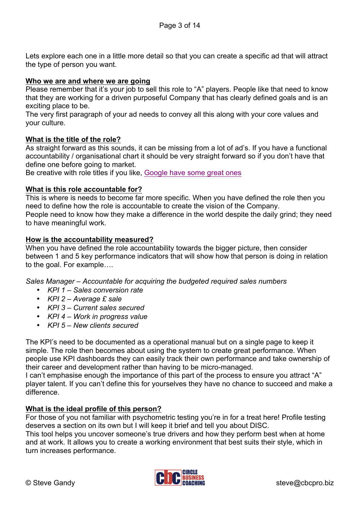Lets explore each one in a little more detail so that you can create a specific ad that will attract the type of person you want.

### **Who we are and where we are going**

Please remember that it's your job to sell this role to "A" players. People like that need to know that they are working for a driven purposeful Company that has clearly defined goals and is an exciting place to be.

The very first paragraph of your ad needs to convey all this along with your core values and your culture.

#### **What is the title of the role?**

As straight forward as this sounds, it can be missing from a lot of ad's. If you have a functional accountability / organisational chart it should be very straight forward so if you don't have that define one before going to market.

Be creative with role titles if you like, [Google have some great ones](http://www.businessinsider.com/11-google-job-titles-you-wont-believe-actually-exist-2012-2?IR=T)

### **What is this role accountable for?**

This is where is needs to become far more specific. When you have defined the role then you need to define how the role is accountable to create the vision of the Company. People need to know how they make a difference in the world despite the daily grind; they need to have meaningful work.

#### **How is the accountability measured?**

When you have defined the role accountability towards the bigger picture, then consider between 1 and 5 key performance indicators that will show how that person is doing in relation to the goal. For example….

*Sales Manager – Accountable for acquiring the budgeted required sales numbers*

- *KPI 1 – Sales conversion rate*
- *KPI 2 – Average £ sale*
- *KPI 3 – Current sales secured*
- *KPI 4 – Work in progress value*
- *KPI 5 – New clients secured*

The KPI's need to be documented as a operational manual but on a single page to keep it simple. The role then becomes about using the system to create great performance. When people use KPI dashboards they can easily track their own performance and take ownership of their career and development rather than having to be micro-managed.

I can't emphasise enough the importance of this part of the process to ensure you attract "A" player talent. If you can't define this for yourselves they have no chance to succeed and make a difference.

#### **What is the ideal profile of this person?**

For those of you not familiar with psychometric testing you're in for a treat here! Profile testing deserves a section on its own but I will keep it brief and tell you about DISC.

This tool helps you uncover someone's true drivers and how they perform best when at home and at work. It allows you to create a working environment that best suits their style, which in turn increases performance.

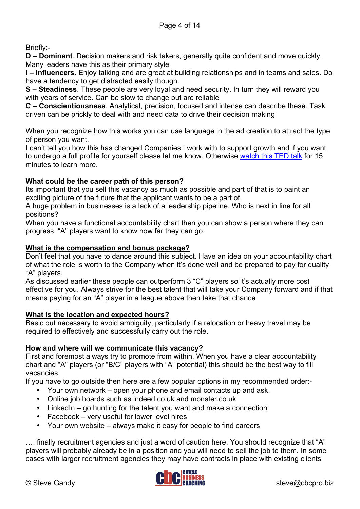Briefly:-

**D – Dominant**. Decision makers and risk takers, generally quite confident and move quickly. Many leaders have this as their primary style

**I – Influencers**. Enjoy talking and are great at building relationships and in teams and sales. Do have a tendency to get distracted easily though.

**S – Steadiness**. These people are very loyal and need security. In turn they will reward you with years of service. Can be slow to change but are reliable

**C – Conscientiousness**. Analytical, precision, focused and intense can describe these. Task driven can be prickly to deal with and need data to drive their decision making

When you recognize how this works you can use language in the ad creation to attract the type of person you want.

I can't tell you how this has changed Companies I work with to support growth and if you want to undergo a full profile for yourself please let me know. Otherwise [watch this TED talk](https://www.youtube.com/watch?v=8pq_tCgDkT4) for 15 minutes to learn more.

## **What could be the career path of this person?**

Its important that you sell this vacancy as much as possible and part of that is to paint an exciting picture of the future that the applicant wants to be a part of.

A huge problem in businesses is a lack of a leadership pipeline. Who is next in line for all positions?

When you have a functional accountability chart then you can show a person where they can progress. "A" players want to know how far they can go.

## **What is the compensation and bonus package?**

Don't feel that you have to dance around this subject. Have an idea on your accountability chart of what the role is worth to the Company when it's done well and be prepared to pay for quality "A" players.

As discussed earlier these people can outperform 3 "C" players so it's actually more cost effective for you. Always strive for the best talent that will take your Company forward and if that means paying for an "A" player in a league above then take that chance

### **What is the location and expected hours?**

Basic but necessary to avoid ambiguity, particularly if a relocation or heavy travel may be required to effectively and successfully carry out the role.

## **How and where will we communicate this vacancy?**

First and foremost always try to promote from within. When you have a clear accountability chart and "A" players (or "B/C" players with "A" potential) this should be the best way to fill vacancies.

If you have to go outside then here are a few popular options in my recommended order:-

- Your own network open your phone and email contacts up and ask.
- Online job boards such as indeed.co.uk and monster.co.uk
- LinkedIn go hunting for the talent you want and make a connection
- Facebook very useful for lower level hires
- Your own website always make it easy for people to find careers

…. finally recruitment agencies and just a word of caution here. You should recognize that "A" players will probably already be in a position and you will need to sell the job to them. In some cases with larger recruitment agencies they may have contracts in place with existing clients

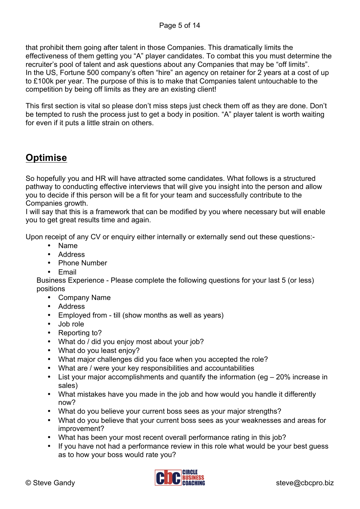that prohibit them going after talent in those Companies. This dramatically limits the effectiveness of them getting you "A" player candidates. To combat this you must determine the recruiter's pool of talent and ask questions about any Companies that may be "off limits". In the US, Fortune 500 company's often "hire" an agency on retainer for 2 years at a cost of up to £100k per year. The purpose of this is to make that Companies talent untouchable to the competition by being off limits as they are an existing client!

This first section is vital so please don't miss steps just check them off as they are done. Don't be tempted to rush the process just to get a body in position. "A" player talent is worth waiting for even if it puts a little strain on others.

# **Optimise**

So hopefully you and HR will have attracted some candidates. What follows is a structured pathway to conducting effective interviews that will give you insight into the person and allow you to decide if this person will be a fit for your team and successfully contribute to the Companies growth.

I will say that this is a framework that can be modified by you where necessary but will enable you to get great results time and again.

Upon receipt of any CV or enquiry either internally or externally send out these questions:-

- Name
- Address
- Phone Number
- Email

Business Experience - Please complete the following questions for your last 5 (or less) positions

- Company Name
- Address
- Employed from till (show months as well as years)
- Job role
- Reporting to?
- What do / did you enjoy most about your job?
- What do you least enjoy?
- What major challenges did you face when you accepted the role?
- What are / were your key responsibilities and accountabilities
- List your major accomplishments and quantify the information (eg 20% increase in sales)
- What mistakes have you made in the job and how would you handle it differently now?
- What do you believe your current boss sees as your major strengths?
- What do you believe that your current boss sees as your weaknesses and areas for improvement?
- What has been your most recent overall performance rating in this job?
- If you have not had a performance review in this role what would be your best quess as to how your boss would rate you?

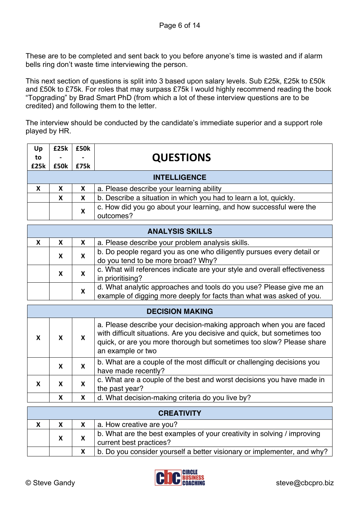These are to be completed and sent back to you before anyone's time is wasted and if alarm bells ring don't waste time interviewing the person.

This next section of questions is split into 3 based upon salary levels. Sub £25k, £25k to £50k and £50k to £75k. For roles that may surpass £75k I would highly recommend reading the book "Topgrading" by Brad Smart PhD (from which a lot of these interview questions are to be credited) and following them to the letter.

The interview should be conducted by the candidate's immediate superior and a support role played by HR.

| Up               | £25k | £50k                      |                                                                                                                                                                                                                                              |
|------------------|------|---------------------------|----------------------------------------------------------------------------------------------------------------------------------------------------------------------------------------------------------------------------------------------|
| to               |      |                           | <b>QUESTIONS</b>                                                                                                                                                                                                                             |
| £25k             | £50k | £75k                      |                                                                                                                                                                                                                                              |
|                  |      |                           | <b>INTELLIGENCE</b>                                                                                                                                                                                                                          |
| $\mathsf{x}$     | X    | X                         | a. Please describe your learning ability                                                                                                                                                                                                     |
|                  | X    | X                         | b. Describe a situation in which you had to learn a lot, quickly.                                                                                                                                                                            |
|                  |      | X                         | c. How did you go about your learning, and how successful were the<br>outcomes?                                                                                                                                                              |
|                  |      |                           | <b>ANALYSIS SKILLS</b>                                                                                                                                                                                                                       |
| $\boldsymbol{X}$ | X    | X                         | a. Please describe your problem analysis skills.                                                                                                                                                                                             |
|                  | X    | $\boldsymbol{\mathsf{x}}$ | b. Do people regard you as one who diligently pursues every detail or<br>do you tend to be more broad? Why?                                                                                                                                  |
|                  | X    | $\mathbf{x}$              | c. What will references indicate are your style and overall effectiveness<br>in prioritising?                                                                                                                                                |
|                  |      | X                         | d. What analytic approaches and tools do you use? Please give me an<br>example of digging more deeply for facts than what was asked of you.                                                                                                  |
|                  |      |                           | <b>DECISION MAKING</b>                                                                                                                                                                                                                       |
| X                | X    | X                         | a. Please describe your decision-making approach when you are faced<br>with difficult situations. Are you decisive and quick, but sometimes too<br>quick, or are you more thorough but sometimes too slow? Please share<br>an example or two |
|                  | X    | X                         | b. What are a couple of the most difficult or challenging decisions you<br><b>Dultanant alaman august</b>                                                                                                                                    |

| $\mathbf{v}$ | $\mathbf{v}$           | have made recently?                                                                     |
|--------------|------------------------|-----------------------------------------------------------------------------------------|
|              | $\boldsymbol{\Lambda}$ | c. What are a couple of the best and worst decisions you have made in<br>the past year? |
|              |                        | d. What decision-making criteria do you live by?                                        |

|   | <b>CREATIVITY</b> |  |                                                                                                    |  |  |  |
|---|-------------------|--|----------------------------------------------------------------------------------------------------|--|--|--|
| х |                   |  | a. How creative are you?                                                                           |  |  |  |
|   | X                 |  | b. What are the best examples of your creativity in solving / improving<br>current best practices? |  |  |  |
|   |                   |  | b. Do you consider yourself a better visionary or implementer, and why?                            |  |  |  |

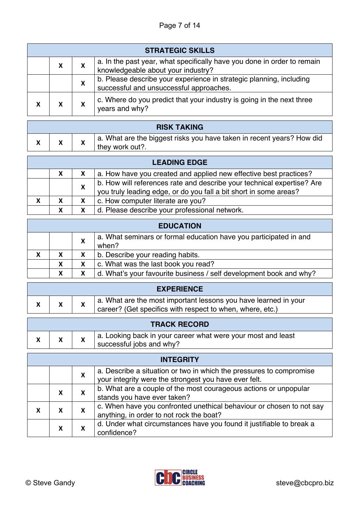## Page 7 of 14

| <b>STRATEGIC SKILLS</b> |   |                                                                                                                |  |  |
|-------------------------|---|----------------------------------------------------------------------------------------------------------------|--|--|
| X                       | X | a. In the past year, what specifically have you done in order to remain<br>knowledgeable about your industry?  |  |  |
|                         | X | b. Please describe your experience in strategic planning, including<br>successful and unsuccessful approaches. |  |  |
| X                       | X | c. Where do you predict that your industry is going in the next three<br>years and why?                        |  |  |

| <b>RISK TAKING</b> |  |                                                                                          |  |  |
|--------------------|--|------------------------------------------------------------------------------------------|--|--|
|                    |  | a. What are the biggest risks you have taken in recent years? How did<br>they work out?. |  |  |

|   | <b>LEADING EDGE</b> |   |                                                                                                                                             |  |  |
|---|---------------------|---|---------------------------------------------------------------------------------------------------------------------------------------------|--|--|
|   | X                   |   | a. How have you created and applied new effective best practices?                                                                           |  |  |
|   |                     |   | b. How will references rate and describe your technical expertise? Are<br>you truly leading edge, or do you fall a bit short in some areas? |  |  |
| X | X                   | X | c. How computer literate are you?                                                                                                           |  |  |
|   | X                   | X | d. Please describe your professional network.                                                                                               |  |  |

| <b>EDUCATION</b> |   |   |                                                                            |  |
|------------------|---|---|----------------------------------------------------------------------------|--|
|                  |   | X | a. What seminars or formal education have you participated in and<br>when? |  |
|                  |   |   |                                                                            |  |
| X                | X |   | b. Describe your reading habits.                                           |  |
|                  | X |   | c. What was the last book you read?                                        |  |
|                  | X |   | d. What's your favourite business / self development book and why?         |  |

| <b>EXPERIENCE</b> |  |  |
|-------------------|--|--|
|                   |  |  |
|                   |  |  |

|  |  |  | a. What are the most important lessons you have learned in your<br>career? (Get specifics with respect to when, where, etc.) |
|--|--|--|------------------------------------------------------------------------------------------------------------------------------|
|--|--|--|------------------------------------------------------------------------------------------------------------------------------|

|  | <b>TRACK RECORD</b> |  |                                                              |  |  |  |
|--|---------------------|--|--------------------------------------------------------------|--|--|--|
|  |                     |  | a. Looking back in your career what were your most and least |  |  |  |
|  |                     |  | successful jobs and why?                                     |  |  |  |

| <b>INTEGRITY</b> |   |                                                                                                                              |  |  |
|------------------|---|------------------------------------------------------------------------------------------------------------------------------|--|--|
|                  | X | a. Describe a situation or two in which the pressures to compromise<br>your integrity were the strongest you have ever felt. |  |  |
| x                | X | b. What are a couple of the most courageous actions or unpopular<br>stands you have ever taken?                              |  |  |
|                  | X | c. When have you confronted unethical behaviour or chosen to not say<br>anything, in order to not rock the boat?             |  |  |
| X                |   | d. Under what circumstances have you found it justifiable to break a<br>confidence?                                          |  |  |



Т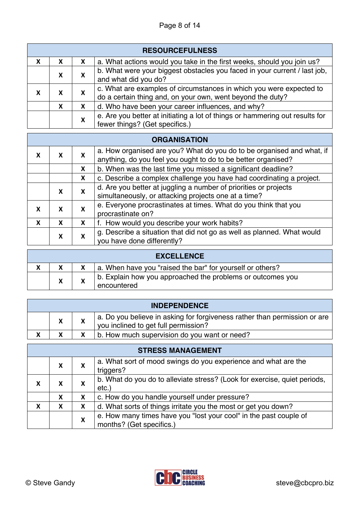## Page 8 of 14

|   | <b>RESOURCEFULNESS</b> |   |                                                                                                                                   |  |  |  |
|---|------------------------|---|-----------------------------------------------------------------------------------------------------------------------------------|--|--|--|
| х | X                      | X | a. What actions would you take in the first weeks, should you join us?                                                            |  |  |  |
|   | X                      | X | b. What were your biggest obstacles you faced in your current / last job,<br>and what did you do?                                 |  |  |  |
| X | X                      | X | c. What are examples of circumstances in which you were expected to<br>do a certain thing and, on your own, went beyond the duty? |  |  |  |
|   | X                      | X | d. Who have been your career influences, and why?                                                                                 |  |  |  |
|   |                        | X | e. Are you better at initiating a lot of things or hammering out results for<br>fewer things? (Get specifics.)                    |  |  |  |

| <b>ORGANISATION</b> |   |   |                                                                                                                                        |  |  |  |
|---------------------|---|---|----------------------------------------------------------------------------------------------------------------------------------------|--|--|--|
| X                   | X | X | a. How organised are you? What do you do to be organised and what, if<br>anything, do you feel you ought to do to be better organised? |  |  |  |
|                     |   | X | b. When was the last time you missed a significant deadline?                                                                           |  |  |  |
|                     |   | X | c. Describe a complex challenge you have had coordinating a project.                                                                   |  |  |  |
|                     | X | X | d. Are you better at juggling a number of priorities or projects                                                                       |  |  |  |
|                     |   |   | simultaneously, or attacking projects one at a time?                                                                                   |  |  |  |
| х                   | X | X | e. Everyone procrastinates at times. What do you think that you                                                                        |  |  |  |
|                     |   |   | procrastinate on?                                                                                                                      |  |  |  |
| X                   | X | X | f. How would you describe your work habits?                                                                                            |  |  |  |
|                     | X | X | g. Describe a situation that did not go as well as planned. What would                                                                 |  |  |  |
|                     |   |   |                                                                                                                                        |  |  |  |

| <b>EXCELLENCE</b> |  |                                                                           |  |
|-------------------|--|---------------------------------------------------------------------------|--|
|                   |  | a. When have you "raised the bar" for yourself or others?                 |  |
| X                 |  | b. Explain how you approached the problems or outcomes you<br>encountered |  |

| <b>INDEPENDENCE</b> |                           |  |                                                                                                                   |
|---------------------|---------------------------|--|-------------------------------------------------------------------------------------------------------------------|
|                     | $\boldsymbol{\mathsf{A}}$ |  | a. Do you believe in asking for forgiveness rather than permission or are<br>you inclined to get full permission? |
|                     | Y                         |  | b. How much supervision do you want or need?                                                                      |

| <b>STRESS MANAGEMENT</b> |   |   |                                                                                               |  |
|--------------------------|---|---|-----------------------------------------------------------------------------------------------|--|
|                          | X | X | a. What sort of mood swings do you experience and what are the<br>triggers?                   |  |
| X                        | x | X | b. What do you do to alleviate stress? (Look for exercise, quiet periods,<br>$etc.$ )         |  |
|                          | X | X | c. How do you handle yourself under pressure?                                                 |  |
| X                        | X | X | d. What sorts of things irritate you the most or get you down?                                |  |
|                          |   | X | e. How many times have you "lost your cool" in the past couple of<br>months? (Get specifics.) |  |



 $\overline{\phantom{a}}$ 

Ť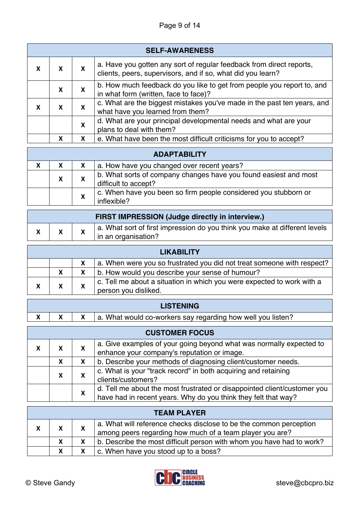## Page 9 of 14

| <b>SELF-AWARENESS</b> |   |   |                                                                                                                                     |  |
|-----------------------|---|---|-------------------------------------------------------------------------------------------------------------------------------------|--|
| X                     |   | X | a. Have you gotten any sort of regular feedback from direct reports,<br>clients, peers, supervisors, and if so, what did you learn? |  |
|                       | X | X | b. How much feedback do you like to get from people you report to, and<br>in what form (written, face to face)?                     |  |
| X                     | х | X | c. What are the biggest mistakes you've made in the past ten years, and<br>what have you learned from them?                         |  |
|                       |   | X | d. What are your principal developmental needs and what are your<br>plans to deal with them?                                        |  |
|                       | X |   | e. What have been the most difficult criticisms for you to accept?                                                                  |  |

|   | <b>ADAPTABILITY</b> |   |                                                                                          |  |  |
|---|---------------------|---|------------------------------------------------------------------------------------------|--|--|
| X | X                   |   | a. How have you changed over recent years?                                               |  |  |
|   | X                   |   | b. What sorts of company changes have you found easiest and most<br>difficult to accept? |  |  |
|   |                     | X | c. When have you been so firm people considered you stubborn or<br>inflexible?           |  |  |

| <b>FIRST IMPRESSION (Judge directly in interview.)</b> |  |                                                                                                   |  |
|--------------------------------------------------------|--|---------------------------------------------------------------------------------------------------|--|
|                                                        |  | a. What sort of first impression do you think you make at different levels<br>in an organisation? |  |

| <b>LIKABILITY</b> |  |  |                                                                                                |
|-------------------|--|--|------------------------------------------------------------------------------------------------|
|                   |  |  | a. When were you so frustrated you did not treat someone with respect?                         |
|                   |  |  | b. How would you describe your sense of humour?                                                |
| X                 |  |  | c. Tell me about a situation in which you were expected to work with a<br>person you disliked. |

|  | <b>LISTENING</b> |  |                                                             |  |
|--|------------------|--|-------------------------------------------------------------|--|
|  |                  |  | a. What would co-workers say regarding how well you listen? |  |
|  |                  |  |                                                             |  |

| <b>CUSTOMER FOCUS</b> |   |   |                                                                          |  |
|-----------------------|---|---|--------------------------------------------------------------------------|--|
| X                     | X | X | a. Give examples of your going beyond what was normally expected to      |  |
|                       |   |   | enhance your company's reputation or image.                              |  |
|                       | х | X | b. Describe your methods of diagnosing client/customer needs.            |  |
|                       |   | X | c. What is your "track record" in both acquiring and retaining           |  |
|                       |   |   | clients/customers?                                                       |  |
|                       |   |   | d. Tell me about the most frustrated or disappointed client/customer you |  |
|                       |   | X | have had in recent years. Why do you think they felt that way?           |  |

| <b>TEAM PLAYER</b> |    |  |                                                                                                                                |
|--------------------|----|--|--------------------------------------------------------------------------------------------------------------------------------|
| X                  | X. |  | a. What will reference checks disclose to be the common perception<br>among peers regarding how much of a team player you are? |
|                    | X. |  | b. Describe the most difficult person with whom you have had to work?                                                          |
|                    | X  |  | c. When have you stood up to a boss?                                                                                           |



T

÷,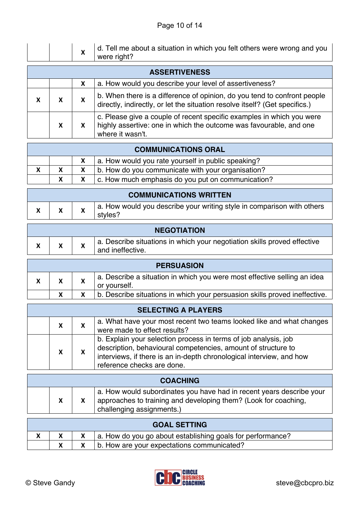|   |                      | х | d. Tell me about a situation in which you felt others were wrong and you<br>were right?                                                                         |  |  |
|---|----------------------|---|-----------------------------------------------------------------------------------------------------------------------------------------------------------------|--|--|
|   | <b>ASSERTIVENESS</b> |   |                                                                                                                                                                 |  |  |
|   |                      | X | a. How would you describe your level of assertiveness?                                                                                                          |  |  |
| X |                      |   | b. When there is a difference of opinion, do you tend to confront people<br>directly, indirectly, or let the situation resolve itself? (Get specifics.)         |  |  |
|   | X                    | X | c. Please give a couple of recent specific examples in which you were<br>highly assertive: one in which the outcome was favourable, and one<br>where it wasn't. |  |  |

| <b>COMMUNICATIONS ORAL</b> |   |  |                                                    |
|----------------------------|---|--|----------------------------------------------------|
|                            |   |  | a. How would you rate yourself in public speaking? |
| X                          |   |  | b. How do you communicate with your organisation?  |
|                            | X |  | c. How much emphasis do you put on communication?  |

| <b>COMMUNICATIONS WRITTEN</b> |  |  |                                                                                   |  |
|-------------------------------|--|--|-----------------------------------------------------------------------------------|--|
|                               |  |  | a. How would you describe your writing style in comparison with others<br>styles? |  |

| <b>NEGOTIATION</b> |  |                                                                                              |  |
|--------------------|--|----------------------------------------------------------------------------------------------|--|
|                    |  | a. Describe situations in which your negotiation skills proved effective<br>and ineffective. |  |

| <b>PERSUASION</b> |  |  |                                                                                          |
|-------------------|--|--|------------------------------------------------------------------------------------------|
|                   |  |  | a. Describe a situation in which you were most effective selling an idea<br>or yourself. |
|                   |  |  | b. Describe situations in which your persuasion skills proved ineffective.               |

| <b>SELECTING A PLAYERS</b> |   |  |                                                                                                                                                                                                                                        |
|----------------------------|---|--|----------------------------------------------------------------------------------------------------------------------------------------------------------------------------------------------------------------------------------------|
|                            | X |  | a. What have your most recent two teams looked like and what changes<br>were made to effect results?                                                                                                                                   |
|                            |   |  |                                                                                                                                                                                                                                        |
|                            | X |  | b. Explain your selection process in terms of job analysis, job<br>description, behavioural competencies, amount of structure to<br>interviews, if there is an in-depth chronological interview, and how<br>reference checks are done. |

| <b>COACHING</b> |  |                                                                                                                                                                                   |  |
|-----------------|--|-----------------------------------------------------------------------------------------------------------------------------------------------------------------------------------|--|
|                 |  | a. How would subordinates you have had in recent years describe your<br>approaches to training and developing them? (Look for coaching,<br><sup>1</sup> challenging assignments.) |  |

| <b>GOAL SETTING</b> |  |  |                                                            |  |
|---------------------|--|--|------------------------------------------------------------|--|
|                     |  |  | a. How do you go about establishing goals for performance? |  |
|                     |  |  | b. How are your expectations communicated?                 |  |



Г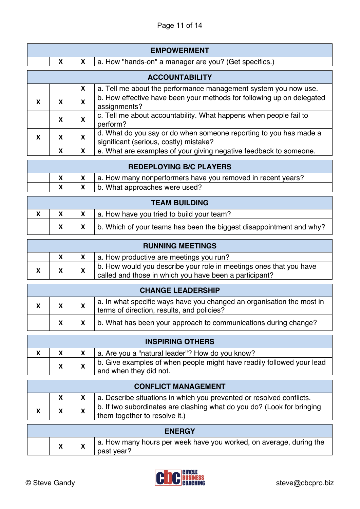| <b>EMPOWERMENT</b>    |   |   |                                                                                                             |  |
|-----------------------|---|---|-------------------------------------------------------------------------------------------------------------|--|
|                       | X | X | a. How "hands-on" a manager are you? (Get specifics.)                                                       |  |
| <b>ACCOUNTABILITY</b> |   |   |                                                                                                             |  |
|                       |   | X | a. Tell me about the performance management system you now use.                                             |  |
| X                     | X | X | b. How effective have been your methods for following up on delegated<br>assignments?                       |  |
|                       | X | X | c. Tell me about accountability. What happens when people fail to<br>perform?                               |  |
| X                     | X | X | d. What do you say or do when someone reporting to you has made a<br>significant (serious, costly) mistake? |  |
|                       | X | X | e. What are examples of your giving negative feedback to someone.                                           |  |

| <b>REDEPLOYING B/C PLAYERS</b> |  |  |                                                             |  |
|--------------------------------|--|--|-------------------------------------------------------------|--|
|                                |  |  | a. How many nonperformers have you removed in recent years? |  |
|                                |  |  | $x$   b. What approaches were used?                         |  |

| <b>TEAM BUILDING</b> |  |  |                                                                                |
|----------------------|--|--|--------------------------------------------------------------------------------|
|                      |  |  | $x \mid a$ . How have you tried to build your team?                            |
|                      |  |  | $x \mid x$ b. Which of your teams has been the biggest disappointment and why? |

| <b>RUNNING MEETINGS</b> |  |  |                                                                                                                              |
|-------------------------|--|--|------------------------------------------------------------------------------------------------------------------------------|
|                         |  |  | a. How productive are meetings you run?                                                                                      |
|                         |  |  | b. How would you describe your role in meetings ones that you have<br>called and those in which you have been a participant? |

| <b>CHANGE LEADERSHIP</b> |  |  |                                                                                                                     |
|--------------------------|--|--|---------------------------------------------------------------------------------------------------------------------|
|                          |  |  | a. In what specific ways have you changed an organisation the most in<br>terms of direction, results, and policies? |
|                          |  |  | b. What has been your approach to communications during change?                                                     |

| <b>INSPIRING OTHERS</b> |  |                                                 |                                                                                                 |  |  |
|-------------------------|--|-------------------------------------------------|-------------------------------------------------------------------------------------------------|--|--|
|                         |  | a. Are you a "natural leader"? How do you know? |                                                                                                 |  |  |
|                         |  |                                                 | b. Give examples of when people might have readily followed your lead<br>and when they did not. |  |  |

| <b>CONFLICT MANAGEMENT</b> |  |  |                                                                                                         |  |
|----------------------------|--|--|---------------------------------------------------------------------------------------------------------|--|
|                            |  |  | a. Describe situations in which you prevented or resolved conflicts.                                    |  |
|                            |  |  | b. If two subordinates are clashing what do you do? (Look for bringing<br>them together to resolve it.) |  |

| <b>ENERGY</b> |   |  |                                                                                  |  |  |
|---------------|---|--|----------------------------------------------------------------------------------|--|--|
|               | Λ |  | a. How many hours per week have you worked, on average, during the<br>past year? |  |  |

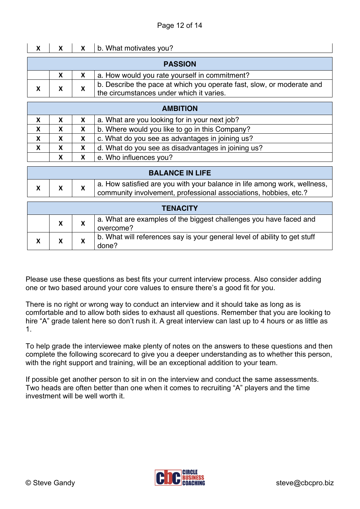| X |                                                                                                                        |  | b. What motivates you?                        |  |  |
|---|------------------------------------------------------------------------------------------------------------------------|--|-----------------------------------------------|--|--|
|   |                                                                                                                        |  | <b>PASSION</b>                                |  |  |
|   | X                                                                                                                      |  | a. How would you rate yourself in commitment? |  |  |
|   | b. Describe the pace at which you operate fast, slow, or moderate and<br>X<br>the circumstances under which it varies. |  |                                               |  |  |
|   |                                                                                                                        |  |                                               |  |  |
|   |                                                                                                                        |  |                                               |  |  |

| <b>AMBITION</b> |    |   |                                                    |  |  |  |
|-----------------|----|---|----------------------------------------------------|--|--|--|
| X               | x  | X | a. What are you looking for in your next job?      |  |  |  |
| X               | X. |   | b. Where would you like to go in this Company?     |  |  |  |
| X               | X  |   | c. What do you see as advantages in joining us?    |  |  |  |
| X               | X  | X | d. What do you see as disadvantages in joining us? |  |  |  |
|                 | X  |   | e. Who influences you?                             |  |  |  |

| <b>BALANCE IN LIFE</b>                                                                                                                         |  |  |  |  |  |
|------------------------------------------------------------------------------------------------------------------------------------------------|--|--|--|--|--|
| a. How satisfied are you with your balance in life among work, wellness,  <br>community involvement, professional associations, hobbies, etc.? |  |  |  |  |  |
| <b>TENACITY</b>                                                                                                                                |  |  |  |  |  |

| IENAVIEI |   |  |                                                                                    |  |
|----------|---|--|------------------------------------------------------------------------------------|--|
|          | X |  | a. What are examples of the biggest challenges you have faced and<br>overcome?     |  |
|          |   |  | b. What will references say is your general level of ability to get stuff<br>done? |  |

Please use these questions as best fits your current interview process. Also consider adding one or two based around your core values to ensure there's a good fit for you.

There is no right or wrong way to conduct an interview and it should take as long as is comfortable and to allow both sides to exhaust all questions. Remember that you are looking to hire "A" grade talent here so don't rush it. A great interview can last up to 4 hours or as little as 1.

To help grade the interviewee make plenty of notes on the answers to these questions and then complete the following scorecard to give you a deeper understanding as to whether this person, with the right support and training, will be an exceptional addition to your team.

If possible get another person to sit in on the interview and conduct the same assessments. Two heads are often better than one when it comes to recruiting "A" players and the time investment will be well worth it.

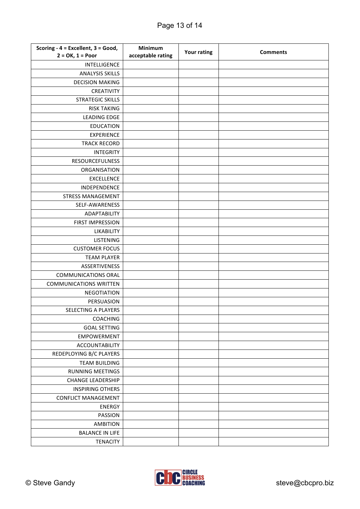| Scoring - 4 = Excellent, 3 = Good, | Minimum           |                    | <b>Comments</b> |  |
|------------------------------------|-------------------|--------------------|-----------------|--|
| $2 = OK, 1 = Poor$                 | acceptable rating | <b>Your rating</b> |                 |  |
| INTELLIGENCE                       |                   |                    |                 |  |
| <b>ANALYSIS SKILLS</b>             |                   |                    |                 |  |
| <b>DECISION MAKING</b>             |                   |                    |                 |  |
| CREATIVITY                         |                   |                    |                 |  |
| <b>STRATEGIC SKILLS</b>            |                   |                    |                 |  |
| <b>RISK TAKING</b>                 |                   |                    |                 |  |
| <b>LEADING EDGE</b>                |                   |                    |                 |  |
| <b>EDUCATION</b>                   |                   |                    |                 |  |
| <b>EXPERIENCE</b>                  |                   |                    |                 |  |
| <b>TRACK RECORD</b>                |                   |                    |                 |  |
| <b>INTEGRITY</b>                   |                   |                    |                 |  |
| <b>RESOURCEFULNESS</b>             |                   |                    |                 |  |
| ORGANISATION                       |                   |                    |                 |  |
| <b>EXCELLENCE</b>                  |                   |                    |                 |  |
| INDEPENDENCE                       |                   |                    |                 |  |
| <b>STRESS MANAGEMENT</b>           |                   |                    |                 |  |
| SELF-AWARENESS                     |                   |                    |                 |  |
| ADAPTABILITY                       |                   |                    |                 |  |
| <b>FIRST IMPRESSION</b>            |                   |                    |                 |  |
| <b>LIKABILITY</b>                  |                   |                    |                 |  |
| <b>LISTENING</b>                   |                   |                    |                 |  |
| <b>CUSTOMER FOCUS</b>              |                   |                    |                 |  |
| <b>TEAM PLAYER</b>                 |                   |                    |                 |  |
| <b>ASSERTIVENESS</b>               |                   |                    |                 |  |
| <b>COMMUNICATIONS ORAL</b>         |                   |                    |                 |  |
| <b>COMMUNICATIONS WRITTEN</b>      |                   |                    |                 |  |
| <b>NEGOTIATION</b>                 |                   |                    |                 |  |
| PERSUASION                         |                   |                    |                 |  |
| SELECTING A PLAYERS                |                   |                    |                 |  |
| COACHING                           |                   |                    |                 |  |
| <b>GOAL SETTING</b>                |                   |                    |                 |  |
| <b>EMPOWERMENT</b>                 |                   |                    |                 |  |
| <b>ACCOUNTABILITY</b>              |                   |                    |                 |  |
| REDEPLOYING B/C PLAYERS            |                   |                    |                 |  |
| <b>TEAM BUILDING</b>               |                   |                    |                 |  |
| <b>RUNNING MEETINGS</b>            |                   |                    |                 |  |
| <b>CHANGE LEADERSHIP</b>           |                   |                    |                 |  |
| <b>INSPIRING OTHERS</b>            |                   |                    |                 |  |
| <b>CONFLICT MANAGEMENT</b>         |                   |                    |                 |  |
| ENERGY                             |                   |                    |                 |  |
| PASSION                            |                   |                    |                 |  |
| <b>AMBITION</b>                    |                   |                    |                 |  |
| <b>BALANCE IN LIFE</b>             |                   |                    |                 |  |
| <b>TENACITY</b>                    |                   |                    |                 |  |
|                                    |                   |                    |                 |  |